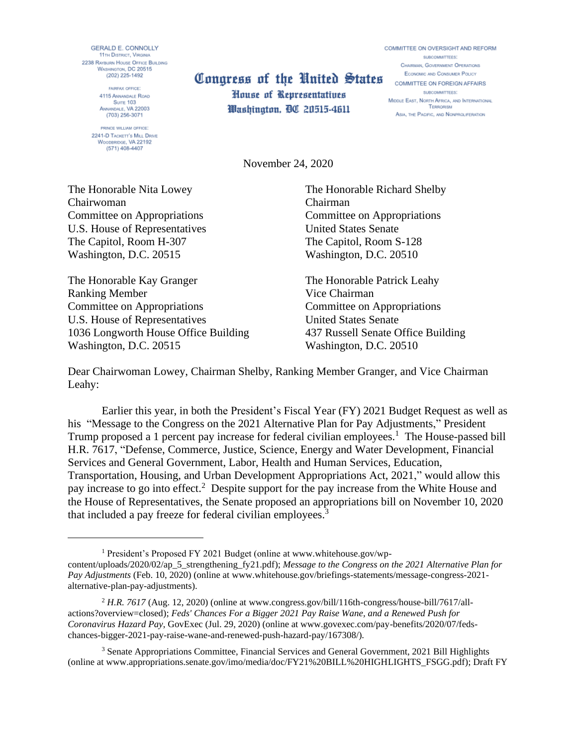**GERALD E. CONNOLLY 11TH DISTRICT, VIRGINIA** 2238 RAYBURN HOUSE OFFICE BUILDING WASHINGTON, DC 20515  $(202)$  225-1492

> FAIRFAX OFFICE: 4115 ANNANDALE ROAD Surre 103 ANNANDALE, VA 22003 (703) 256-3071

PRINCE WILLIAM OFFICE. 2241-D TACKETT'S MILL DRIVE WOODBRIDGE, VA 22192  $(571)$  408-4407

## Concurrence on Foreign areas of the United States COMMITTEE ON FOREIGN AFFAIRS

House of Representatives Washington, DC 20515-4611 COMMITTEE ON OVERSIGHT AND REFORM SUBCOMMITTEES: CHAIRMAN, GOVERNMENT OPERATIONS **ECONOMIC AND CONSUMER POLICY** SUBCOMMITTEES: MIDDLE EAST, NORTH AFRICA, AND INTERNATIONAL TERRORISM ASIA, THE PACIFIC, AND NONPROLIFERATION

November 24, 2020

The Honorable Nita Lowey The Honorable Richard Shelby Chairwoman Chairman Committee on Appropriations Committee on Appropriations U.S. House of Representatives United States Senate The Capitol, Room H-307 The Capitol, Room S-128 Washington, D.C. 20515 Washington, D.C. 20510

The Honorable Kay Granger The Honorable Patrick Leahy Ranking Member Vice Chairman Committee on Appropriations Committee on Appropriations U.S. House of Representatives United States Senate 1036 Longworth House Office Building 437 Russell Senate Office Building Washington, D.C. 20515 Washington, D.C. 20510

Dear Chairwoman Lowey, Chairman Shelby, Ranking Member Granger, and Vice Chairman Leahy:

Earlier this year, in both the President's Fiscal Year (FY) 2021 Budget Request as well as his "Message to the Congress on the 2021 Alternative Plan for Pay Adjustments," President Trump proposed a 1 percent pay increase for federal civilian employees.<sup>1</sup> The House-passed bill H.R. 7617, "Defense, Commerce, Justice, Science, Energy and Water Development, Financial Services and General Government, Labor, Health and Human Services, Education, Transportation, Housing, and Urban Development Appropriations Act, 2021," would allow this pay increase to go into effect.<sup>2</sup> Despite support for the pay increase from the White House and the House of Representatives, the Senate proposed an appropriations bill on November 10, 2020 that included a pay freeze for federal civilian employees.<sup>3</sup>

<sup>&</sup>lt;sup>1</sup> President's Proposed FY 2021 Budget (online at [www.whitehouse.gov/wp](http://www.whitehouse.gov/wp-content/uploads/2020/02/ap_5_strengthening_fy21.pdf)[content/uploads/2020/02/ap\\_5\\_strengthening\\_fy21.pdf\)](http://www.whitehouse.gov/wp-content/uploads/2020/02/ap_5_strengthening_fy21.pdf); *Message to the Congress on the 2021 Alternative Plan for Pay Adjustments* (Feb. 10, 2020) (online at [www.whitehouse.gov/briefings-statements/message-congress-2021](http://www.whitehouse.gov/briefings-statements/message-congress-2021-alternative-plan-pay-adjustments) [alternative-plan-pay-adjustments\)](http://www.whitehouse.gov/briefings-statements/message-congress-2021-alternative-plan-pay-adjustments).

<sup>&</sup>lt;sup>2</sup> H.R. 7617 (Aug. 12, 2020) (online at [www.congress.gov/bill/116th-congress/house-bill/7617/all](http://www.congress.gov/bill/116th-congress/house-bill/7617/all-actions?overview=closed)[actions?overview=closed\)](http://www.congress.gov/bill/116th-congress/house-bill/7617/all-actions?overview=closed); *Feds' Chances For a Bigger 2021 Pay Raise Wane, and a Renewed Push for Coronavirus Hazard Pay*, GovExec (Jul. 29, 2020) (online at www.govexec.com/pay-benefits/2020/07/fedschances-bigger-2021-pay-raise-wane-and-renewed-push-hazard-pay/167308/).

<sup>&</sup>lt;sup>3</sup> Senate Appropriations Committee, Financial Services and General Government, 2021 Bill Highlights (online a[t www.appropriations.senate.gov/imo/media/doc/FY21%20BILL%20HIGHLIGHTS\\_FSGG.pdf\)](http://www.appropriations.senate.gov/imo/media/doc/FY21%20BILL%20HIGHLIGHTS_FSGG.pdf); Draft FY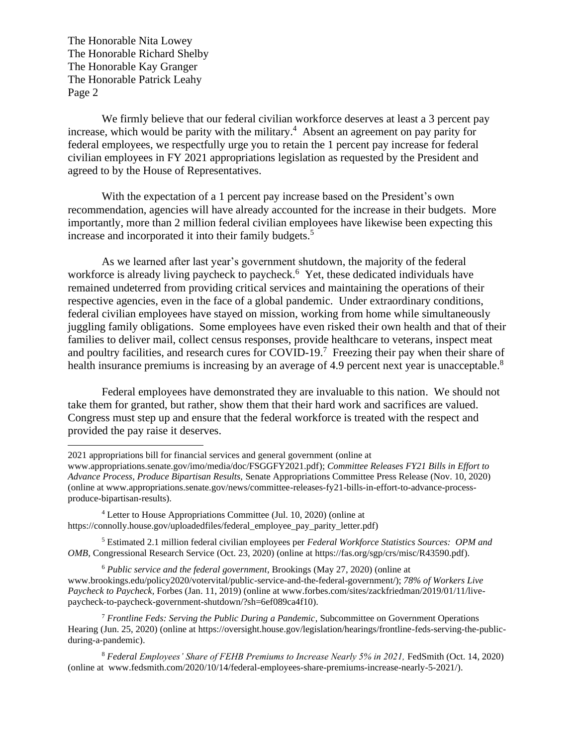The Honorable Nita Lowey The Honorable Richard Shelby The Honorable Kay Granger The Honorable Patrick Leahy Page 2

We firmly believe that our federal civilian workforce deserves at least a 3 percent pay increase, which would be parity with the military. 4 Absent an agreement on pay parity for federal employees, we respectfully urge you to retain the 1 percent pay increase for federal civilian employees in FY 2021 appropriations legislation as requested by the President and agreed to by the House of Representatives.

With the expectation of a 1 percent pay increase based on the President's own recommendation, agencies will have already accounted for the increase in their budgets. More importantly, more than 2 million federal civilian employees have likewise been expecting this increase and incorporated it into their family budgets. 5

As we learned after last year's government shutdown, the majority of the federal workforce is already living paycheck to paycheck.<sup>6</sup> Yet, these dedicated individuals have remained undeterred from providing critical services and maintaining the operations of their respective agencies, even in the face of a global pandemic. Under extraordinary conditions, federal civilian employees have stayed on mission, working from home while simultaneously juggling family obligations. Some employees have even risked their own health and that of their families to deliver mail, collect census responses, provide healthcare to veterans, inspect meat and poultry facilities, and research cures for COVID-19.<sup>7</sup> Freezing their pay when their share of health insurance premiums is increasing by an average of 4.9 percent next year is unacceptable.<sup>8</sup>

Federal employees have demonstrated they are invaluable to this nation. We should not take them for granted, but rather, show them that their hard work and sacrifices are valued. Congress must step up and ensure that the federal workforce is treated with the respect and provided the pay raise it deserves.

<sup>2021</sup> appropriations bill for financial services and general government (online at

[www.appropriations.senate.gov/imo/media/doc/FSGGFY2021.pdf\)](http://www.appropriations.senate.gov/imo/media/doc/FSGGFY2021.pdf); *Committee Releases FY21 Bills in Effort to Advance Process, Produce Bipartisan Results,* Senate Appropriations Committee Press Release (Nov. 10, 2020) (online at www.appropriations.senate.gov/news/committee-releases-fy21-bills-in-effort-to-advance-processproduce-bipartisan-results).

<sup>4</sup> Letter to House Appropriations Committee (Jul. 10, 2020) (online at https://connolly.house.gov/uploadedfiles/federal\_employee\_pay\_parity\_letter.pdf)

<sup>5</sup> Estimated 2.1 million federal civilian employees per *Federal Workforce Statistics Sources: OPM and OMB,* Congressional Research Service (Oct. 23, 2020) (online at [https://fas.org/sgp/crs/misc/R43590.pdf\)](https://fas.org/sgp/crs/misc/R43590.pdf).

<sup>6</sup> *Public service and the federal government,* Brookings (May 27, 2020) (online at [www.brookings.edu/policy2020/votervital/public-service-and-the-federal-government/\)](https://www.brookings.edu/policy2020/votervital/public-service-and-the-federal-government/); *78% of Workers Live Paycheck to Paycheck,* Forbes (Jan. 11, 2019) (online at [www.forbes.com/sites/zackfriedman/2019/01/11/live](http://www.forbes.com/sites/zackfriedman/2019/01/11/live-paycheck-to-paycheck-government-shutdown/?sh=6ef089ca4f10)[paycheck-to-paycheck-government-shutdown/?sh=6ef089ca4f10\)](http://www.forbes.com/sites/zackfriedman/2019/01/11/live-paycheck-to-paycheck-government-shutdown/?sh=6ef089ca4f10).

<sup>7</sup> *Frontline Feds: Serving the Public During a Pandemic*, Subcommittee on Government Operations Hearing (Jun. 25, 2020) (online at https://oversight.house.gov/legislation/hearings/frontline-feds-serving-the-publicduring-a-pandemic).

<sup>8</sup> *Federal Employees' Share of FEHB Premiums to Increase Nearly 5% in 2021,* FedSmith (Oct. 14, 2020) (online at [www.fedsmith.com/2020/10/14/federal-employees-share-premiums-increase-nearly-5-2021/\)](http://www.fedsmith.com/2020/10/14/federal-employees-share-premiums-increase-nearly-5-2021/).